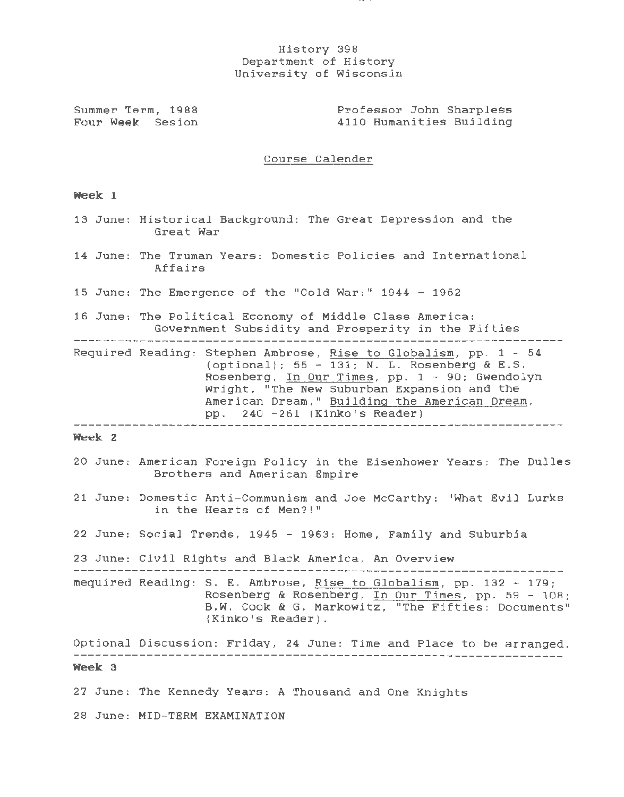## History 398 Department of History University of Wisconsin

 $-$ 

Summer Term, 1988 Four Week Sesion Professor John Sharpless 4110 Humanities Building

Course Calender

## **Week 1**

|        | 13 June: Historical Background: The Great Depression and the<br>Great War                                                                                                                                                                                                                              |
|--------|--------------------------------------------------------------------------------------------------------------------------------------------------------------------------------------------------------------------------------------------------------------------------------------------------------|
|        | 14 June: The Truman Years: Domestic Policies and International<br>Affairs                                                                                                                                                                                                                              |
|        | 15 June: The Emergence of the "Cold War:" 1944 - 1952                                                                                                                                                                                                                                                  |
|        | 16 June: The Political Economy of Middle Class America:<br>Government Subsidity and Prosperity in the Fifties                                                                                                                                                                                          |
|        | Required Reading: Stephen Ambrose, Rise to Globalism, pp. 1 - 54<br>(optional); $55 - 131$ ; N. L. Rosenberg & E.S.<br>Rosenberg, In Our Times, pp. 1 - 90; Gwendolyn<br>Wright, "The New Suburban Expansion and the<br>American Dream," Building the American Dream,<br>pp. 240 -261 (Kinko's Reader) |
| Week 2 |                                                                                                                                                                                                                                                                                                        |
|        | 20 June: American Foreign Policy in the Eisenhower Years: The Dulles<br>Brothers and American Empire                                                                                                                                                                                                   |
|        | 21 June: Domestic Anti-Communism and Joe McCarthy: "What Evil Lurks<br>in the Hearts of Men?!"                                                                                                                                                                                                         |
|        | 22 June: Social Trends, 1945 - 1963: Home, Family and Suburbia                                                                                                                                                                                                                                         |
|        | 23 June: Civil Rights and Black America, An Overview                                                                                                                                                                                                                                                   |
|        | mequired Reading: S. E. Ambrose, Rise to Globalism, pp. 132 - 179;<br>Rosenberg & Rosenberg, In Our Times, pp. 59 - 108;<br>B.W. Cook & G. Markowitz, "The Fifties: Documents"<br>(Kinko's Reader).                                                                                                    |
|        | Optional Discussion: Friday, 24 June: Time and Place to be arranged.                                                                                                                                                                                                                                   |
| Week 3 |                                                                                                                                                                                                                                                                                                        |
|        | 27 June: The Kennedy Years: A Thousand and One Knights                                                                                                                                                                                                                                                 |
|        | 28 June: MID-TERM EXAMINATION                                                                                                                                                                                                                                                                          |